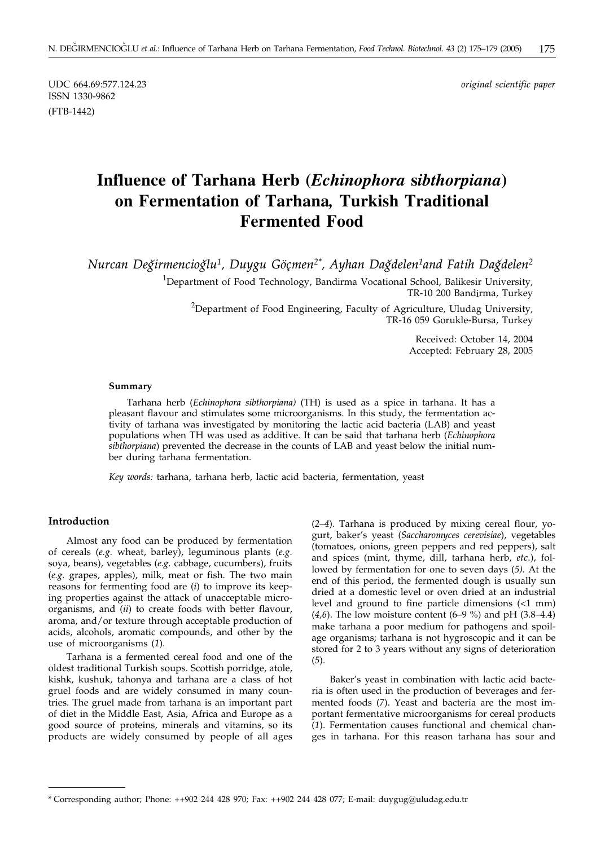ISSN 1330-9862 (FTB-1442)

UDC 664.69:577.124.23 *original scientific paper*

# **Influence of Tarhana Herb (***Echinophora* **s***ibthorpiana***) on Fermentation of Tarhana***,* **Turkish Traditional Fermented Food**

*Nurcan Deghirmencioghlu1, Duygu Göçmen2\*, Ayhan Daghdelen1and Fatih Daghdelen2*

<sup>1</sup>Department of Food Technology, Bandirma Vocational School, Balikesir University, TR-10 200 Bandirma, Turkey

<sup>2</sup>Department of Food Engineering, Faculty of Agriculture, Uludag University, TR-16 059 Gorukle-Bursa, Turkey

> Received: October 14, 2004 Accepted: February 28, 2005

#### **Summary**

Tarhana herb (*Echinophora sibthorpiana)* (TH) is used as a spice in tarhana. It has a pleasant flavour and stimulates some microorganisms. In this study, the fermentation activity of tarhana was investigated by monitoring the lactic acid bacteria (LAB) and yeast populations when TH was used as additive. It can be said that tarhana herb (*Echinophora sibthorpiana*) prevented the decrease in the counts of LAB and yeast below the initial number during tarhana fermentation.

*Key words:* tarhana, tarhana herb, lactic acid bacteria, fermentation, yeast

## **Introduction**

Almost any food can be produced by fermentation of cereals (*e.g.* wheat, barley), leguminous plants (*e.g.* soya, beans), vegetables (*e.g.* cabbage, cucumbers), fruits (*e.g.* grapes, apples), milk, meat or fish. The two main reasons for fermenting food are (*i*) to improve its keeping properties against the attack of unacceptable microorganisms, and (*ii*) to create foods with better flavour, aroma, and/or texture through acceptable production of acids, alcohols, aromatic compounds, and other by the use of microorganisms (*1*).

Tarhana is a fermented cereal food and one of the oldest traditional Turkish soups. Scottish porridge, atole, kishk, kushuk, tahonya and tarhana are a class of hot gruel foods and are widely consumed in many countries. The gruel made from tarhana is an important part of diet in the Middle East, Asia, Africa and Europe as a good source of proteins, minerals and vitamins, so its products are widely consumed by people of all ages (*2–4*). Tarhana is produced by mixing cereal flour, yogurt, baker's yeast (*Saccharomyces cerevisiae*), vegetables (tomatoes, onions, green peppers and red peppers), salt and spices (mint, thyme, dill, tarhana herb, *etc*.), followed by fermentation for one to seven days (*5).* At the end of this period, the fermented dough is usually sun dried at a domestic level or oven dried at an industrial level and ground to fine particle dimensions (<1 mm) (*4,6*). The low moisture content (6–9 %) and pH (3.8–4.4) make tarhana a poor medium for pathogens and spoilage organisms; tarhana is not hygroscopic and it can be stored for 2 to 3 years without any signs of deterioration (*5*).

Baker's yeast in combination with lactic acid bacteria is often used in the production of beverages and fermented foods (*7*). Yeast and bacteria are the most important fermentative microorganisms for cereal products (*1*). Fermentation causes functional and chemical changes in tarhana. For this reason tarhana has sour and

<sup>\*</sup> Corresponding author; Phone: ++902 244 428 970; Fax: ++902 244 428 077; E-mail: duygug*@*uludag.edu.tr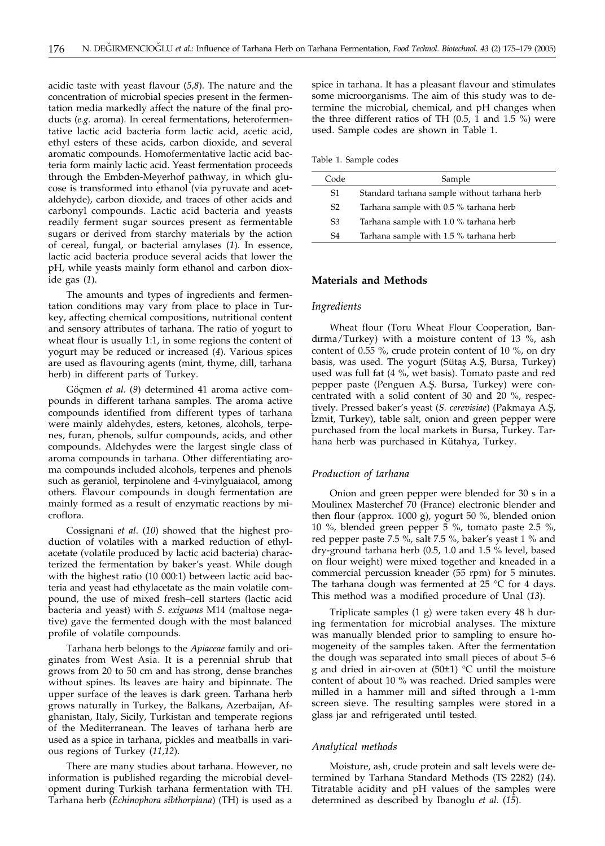acidic taste with yeast flavour (*5,8*). The nature and the concentration of microbial species present in the fermentation media markedly affect the nature of the final products (*e.g.* aroma). In cereal fermentations, heterofermentative lactic acid bacteria form lactic acid, acetic acid, ethyl esters of these acids, carbon dioxide, and several aromatic compounds. Homofermentative lactic acid bacteria form mainly lactic acid. Yeast fermentation proceeds through the Embden-Meyerhof pathway, in which glucose is transformed into ethanol (via pyruvate and acetaldehyde), carbon dioxide, and traces of other acids and carbonyl compounds. Lactic acid bacteria and yeasts readily ferment sugar sources present as fermentable sugars or derived from starchy materials by the action of cereal, fungal, or bacterial amylases (*1*). In essence, lactic acid bacteria produce several acids that lower the pH, while yeasts mainly form ethanol and carbon dioxide gas (*1*).

The amounts and types of ingredients and fermentation conditions may vary from place to place in Turkey, affecting chemical compositions, nutritional content and sensory attributes of tarhana. The ratio of yogurt to wheat flour is usually 1:1, in some regions the content of yogurt may be reduced or increased (*4*). Various spices are used as flavouring agents (mint, thyme, dill, tarhana herb) in different parts of Turkey.

Göçmen *et al.* (*9*) determined 41 aroma active compounds in different tarhana samples. The aroma active compounds identified from different types of tarhana were mainly aldehydes, esters, ketones, alcohols, terpenes, furan, phenols, sulfur compounds, acids, and other compounds. Aldehydes were the largest single class of aroma compounds in tarhana. Other differentiating aroma compounds included alcohols, terpenes and phenols such as geraniol, terpinolene and 4-vinylguaiacol, among others. Flavour compounds in dough fermentation are mainly formed as a result of enzymatic reactions by microflora.

Cossignani *et al*. (*10*) showed that the highest production of volatiles with a marked reduction of ethylacetate (volatile produced by lactic acid bacteria) characterized the fermentation by baker's yeast. While dough with the highest ratio (10 000:1) between lactic acid bacteria and yeast had ethylacetate as the main volatile compound, the use of mixed fresh–cell starters (lactic acid bacteria and yeast) with *S. exiguous* M14 (maltose negative) gave the fermented dough with the most balanced profile of volatile compounds.

Tarhana herb belongs to the *Apiaceae* family and originates from West Asia. It is a perennial shrub that grows from 20 to 50 cm and has strong, dense branches without spines. Its leaves are hairy and bipinnate. The upper surface of the leaves is dark green. Tarhana herb grows naturally in Turkey, the Balkans, Azerbaijan, Afghanistan, Italy, Sicily, Turkistan and temperate regions of the Mediterranean. The leaves of tarhana herb are used as a spice in tarhana, pickles and meatballs in various regions of Turkey (*11,12*).

There are many studies about tarhana. However, no information is published regarding the microbial development during Turkish tarhana fermentation with TH. Tarhana herb (*Echinophora sibthorpiana*) (TH) is used as a

spice in tarhana. It has a pleasant flavour and stimulates some microorganisms. The aim of this study was to determine the microbial, chemical, and pH changes when the three different ratios of TH  $(0.5, 1, 1.5)$  %) were used. Sample codes are shown in Table 1.

Table 1. Sample codes

| Code           | Sample                                       |
|----------------|----------------------------------------------|
| S1.            | Standard tarhana sample without tarhana herb |
| S <sub>2</sub> | Tarhana sample with 0.5 % tarhana herb       |
| S <sub>3</sub> | Tarhana sample with 1.0 % tarhana herb       |
| S4             | Tarhana sample with 1.5 % tarhana herb       |
|                |                                              |

# **Materials and Methods**

#### *Ingredients*

Wheat flour (Toru Wheat Flour Cooperation, Bandirma/Turkey) with a moisture content of 13 %, ash content of 0.55 %, crude protein content of 10 %, on dry basis, was used. The yogurt (Sütaş A.Ş, Bursa, Turkey) used was full fat (4 %, wet basis). Tomato paste and red pepper paste (Penguen A.S¸. Bursa, Turkey) were concentrated with a solid content of 30 and 20 %, respectively. Pressed baker's yeast (*S. cerevisiae*) (Pakmaya A.S¸, IVETY: TRESSED BURET BY GEST (B. CEREBBILE) (TURKINGY TRESP.<br>Izmit, Turkey), table salt, onion and green pepper were purchased from the local markets in Bursa, Turkey. Tarhana herb was purchased in Kütahya, Turkey.

# *Production of tarhana*

Onion and green pepper were blended for 30 s in a Moulinex Masterchef 70 (France) electronic blender and then flour (approx. 1000 g), yogurt 50 %, blended onion 10 %, blended green pepper 5 %, tomato paste 2.5 %, red pepper paste 7.5 %, salt 7.5 %, baker's yeast 1 % and dry-ground tarhana herb (0.5, 1.0 and 1.5 % level, based on flour weight) were mixed together and kneaded in a commercial percussion kneader (55 rpm) for 5 minutes. The tarhana dough was fermented at 25  $^{\circ}$ C for 4 days. This method was a modified procedure of Unal (*13*).

Triplicate samples (1 g) were taken every 48 h during fermentation for microbial analyses. The mixture was manually blended prior to sampling to ensure homogeneity of the samples taken. After the fermentation the dough was separated into small pieces of about 5–6 g and dried in air-oven at  $(50±1)$  °C until the moisture content of about 10 % was reached. Dried samples were milled in a hammer mill and sifted through a 1-mm screen sieve. The resulting samples were stored in a glass jar and refrigerated until tested.

#### *Analytical methods*

Moisture, ash, crude protein and salt levels were determined by Tarhana Standard Methods (TS 2282) (*14*). Titratable acidity and pH values of the samples were determined as described by Ibanoglu *et al.* (*15*).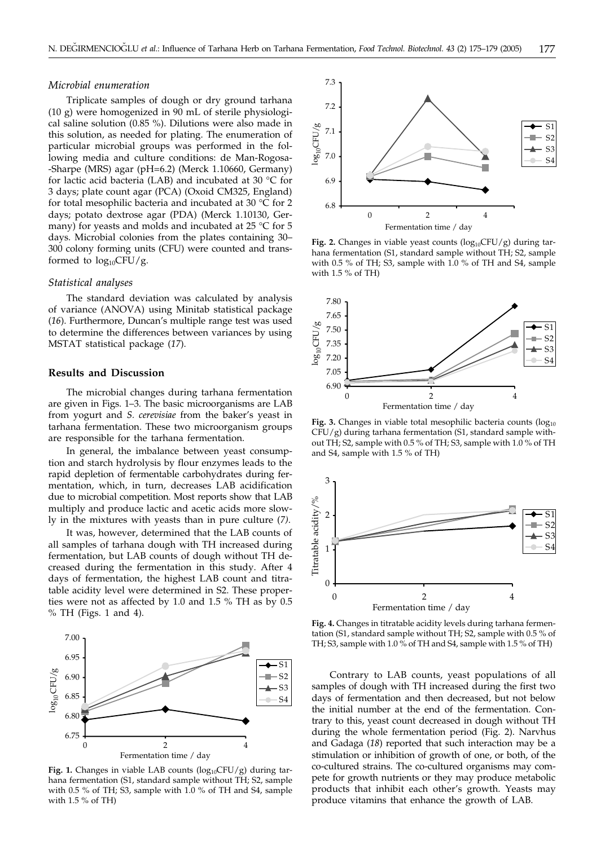#### *Microbial enumeration*

Triplicate samples of dough or dry ground tarhana (10 g) were homogenized in 90 mL of sterile physiological saline solution (0.85 %). Dilutions were also made in this solution, as needed for plating. The enumeration of particular microbial groups was performed in the following media and culture conditions: de Man-Rogosa- -Sharpe (MRS) agar (pH=6.2) (Merck 1.10660, Germany) for lactic acid bacteria (LAB) and incubated at 30 °C for 3 days; plate count agar (PCA) (Oxoid CM325, England) for total mesophilic bacteria and incubated at 30 °C for 2 days; potato dextrose agar (PDA) (Merck 1.10130, Germany) for yeasts and molds and incubated at 25 °C for 5 days. Microbial colonies from the plates containing 30– 300 colony forming units (CFU) were counted and transformed to  $log_{10}CFU/g$ .

#### *Statistical analyses*

The standard deviation was calculated by analysis of variance (ANOVA) using Minitab statistical package (*16*). Furthermore, Duncan's multiple range test was used to determine the differences between variances by using MSTAT statistical package (*17*).

#### **Results and Discussion**

The microbial changes during tarhana fermentation are given in Figs. 1–3. The basic microorganisms are LAB from yogurt and *S. cerevisiae* from the baker's yeast in tarhana fermentation. These two microorganism groups are responsible for the tarhana fermentation.

In general, the imbalance between yeast consumption and starch hydrolysis by flour enzymes leads to the rapid depletion of fermentable carbohydrates during fermentation, which, in turn, decreases LAB acidification due to microbial competition. Most reports show that LAB multiply and produce lactic and acetic acids more slowly in the mixtures with yeasts than in pure culture (*7)*.

It was, however, determined that the LAB counts of all samples of tarhana dough with TH increased during fermentation, but LAB counts of dough without TH decreased during the fermentation in this study. After 4 days of fermentation, the highest LAB count and titratable acidity level were determined in S2. These properties were not as affected by 1.0 and 1.5 % TH as by 0.5 % TH (Figs. 1 and 4).



Fig. 1. Changes in viable LAB counts (log<sub>10</sub>CFU/g) during tarhana fermentation (S1, standard sample without TH; S2, sample with 0.5 % of TH; S3, sample with 1.0 % of TH and S4, sample with 1.5 % of TH)



**Fig. 2.** Changes in viable yeast counts  $(log_{10}CFU/g)$  during tarhana fermentation (S1, standard sample without TH; S2, sample with 0.5 % of TH; S3, sample with 1.0 % of TH and S4, sample with 1.5 % of TH)



**Fig. 3.** Changes in viable total mesophilic bacteria counts  $(\log_{10}$ CFU/g) during tarhana fermentation (S1, standard sample without TH; S2, sample with 0.5 % of TH; S3, sample with 1.0 % of TH and S4, sample with 1.5 % of TH)



**Fig. 4.** Changes in titratable acidity levels during tarhana fermentation (S1, standard sample without TH; S2, sample with 0.5 % of TH; S3, sample with 1.0 % of TH and S4, sample with 1.5 % of TH)

Contrary to LAB counts, yeast populations of all samples of dough with TH increased during the first two days of fermentation and then decreased, but not below the initial number at the end of the fermentation. Contrary to this, yeast count decreased in dough without TH during the whole fermentation period (Fig. 2). Narvhus and Gadaga (*18*) reported that such interaction may be a stimulation or inhibition of growth of one, or both, of the co-cultured strains. The co-cultured organisms may compete for growth nutrients or they may produce metabolic products that inhibit each other's growth. Yeasts may produce vitamins that enhance the growth of LAB.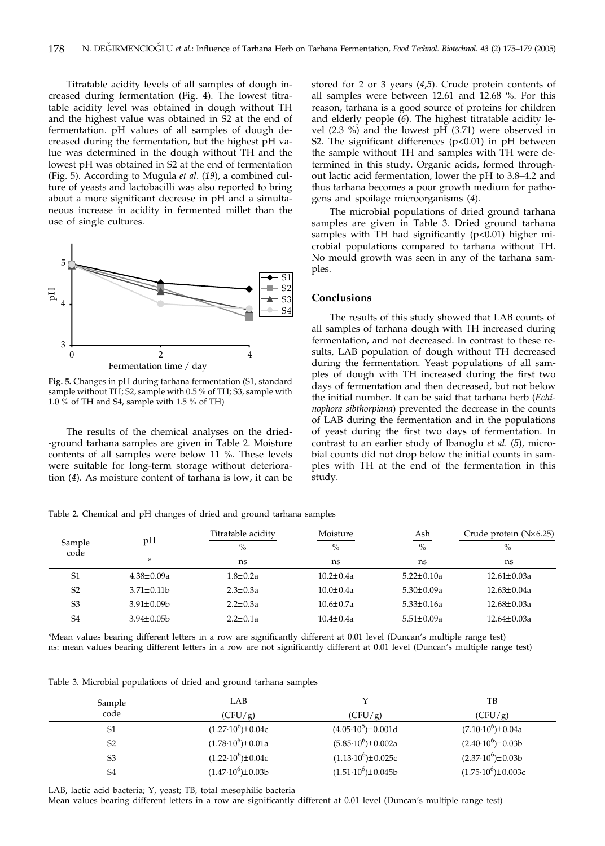Titratable acidity levels of all samples of dough increased during fermentation (Fig. 4). The lowest titratable acidity level was obtained in dough without TH and the highest value was obtained in S2 at the end of fermentation. pH values of all samples of dough decreased during the fermentation, but the highest pH value was determined in the dough without TH and the lowest pH was obtained in S2 at the end of fermentation (Fig. 5). According to Mugula *et al*. (*19*), a combined culture of yeasts and lactobacilli was also reported to bring about a more significant decrease in pH and a simultaneous increase in acidity in fermented millet than the use of single cultures.



**Fig. 5.** Changes in pH during tarhana fermentation (S1, standard sample without TH; S2, sample with 0.5 % of TH; S3, sample with 1.0 % of TH and S4, sample with 1.5 % of TH)

The results of the chemical analyses on the dried- -ground tarhana samples are given in Table 2. Moisture contents of all samples were below 11 %. These levels were suitable for long-term storage without deterioration (*4*). As moisture content of tarhana is low, it can be

stored for 2 or 3 years (*4,5*). Crude protein contents of all samples were between 12.61 and 12.68 %. For this reason, tarhana is a good source of proteins for children and elderly people (*6*). The highest titratable acidity level (2.3 %) and the lowest pH (3.71) were observed in S2. The significant differences  $(p<0.01)$  in pH between the sample without TH and samples with TH were determined in this study. Organic acids, formed throughout lactic acid fermentation, lower the pH to 3.8–4.2 and thus tarhana becomes a poor growth medium for pathogens and spoilage microorganisms (*4*).

The microbial populations of dried ground tarhana samples are given in Table 3. Dried ground tarhana samples with TH had significantly  $(p<0.01)$  higher microbial populations compared to tarhana without TH. No mould growth was seen in any of the tarhana samples.

#### **Conclusions**

The results of this study showed that LAB counts of all samples of tarhana dough with TH increased during fermentation, and not decreased. In contrast to these results, LAB population of dough without TH decreased during the fermentation. Yeast populations of all samples of dough with TH increased during the first two days of fermentation and then decreased, but not below the initial number. It can be said that tarhana herb (*Echinophora sibthorpiana*) prevented the decrease in the counts of LAB during the fermentation and in the populations of yeast during the first two days of fermentation. In contrast to an earlier study of Ibanoglu *et al.* (*5*), microbial counts did not drop below the initial counts in samples with TH at the end of the fermentation in this study.

Table 2. Chemical and pH changes of dried and ground tarhana samples

|                |                   | Titratable acidity | Moisture        | Ash              | Crude protein $(N \times 6.25)$ |
|----------------|-------------------|--------------------|-----------------|------------------|---------------------------------|
| Sample<br>code | pH                | $\%$               | $\frac{0}{0}$   | $\%$             | $\%$                            |
|                | *                 | ns                 | ns              | ns               | ns                              |
| S <sub>1</sub> | $4.38 \pm 0.09a$  | $1.8 \pm 0.2a$     | $10.2 \pm 0.4a$ | $5.22 \pm 0.10a$ | $12.61 \pm 0.03a$               |
| S <sub>2</sub> | $3.71 \pm 0.11$ b | $2.3 \pm 0.3a$     | $10.0 \pm 0.4a$ | $5.30 \pm 0.09a$ | $12.63 \pm 0.04a$               |
| S <sub>3</sub> | $3.91 \pm 0.09$   | $2.2 \pm 0.3a$     | $10.6 \pm 0.7a$ | $5.33 \pm 0.16a$ | $12.68 \pm 0.03a$               |
| S <sub>4</sub> | $3.94 \pm 0.05 b$ | $2.2 \pm 0.1a$     | $10.4 \pm 0.4a$ | $5.51 \pm 0.09a$ | $12.64 \pm 0.03a$               |

\*Mean values bearing different letters in a row are significantly different at 0.01 level (Duncan's multiple range test) ns: mean values bearing different letters in a row are not significantly different at 0.01 level (Duncan's multiple range test)

Table 3. Microbial populations of dried and ground tarhana samples

| Sample         | LAB                           |                                 | TВ                             |
|----------------|-------------------------------|---------------------------------|--------------------------------|
| code           | (CFU/g)                       | (CFU/g)                         | (CFU/g)                        |
| S1             | $(1.27 \cdot 10^6) \pm 0.04c$ | $(4.05 \cdot 10^5) \pm 0.001$ d | $(7.10 \cdot 10^6) \pm 0.04a$  |
| S <sub>2</sub> | $(1.78 \cdot 10^6) \pm 0.01a$ | $(5.85 \cdot 10^6) \pm 0.002a$  | $(2.40 \cdot 10^6) \pm 0.03b$  |
| S <sub>3</sub> | $(1.22 \cdot 10^6) \pm 0.04c$ | $(1.13 \cdot 10^6) \pm 0.025c$  | $(2.37 \cdot 10^6) \pm 0.03b$  |
| S <sub>4</sub> | $(1.47 \cdot 10^6) \pm 0.03b$ | $(1.51 \cdot 10^6) \pm 0.045b$  | $(1.75 \cdot 10^6) \pm 0.003c$ |

LAB, lactic acid bacteria; Y, yeast; TB, total mesophilic bacteria

Mean values bearing different letters in a row are significantly different at 0.01 level (Duncan's multiple range test)